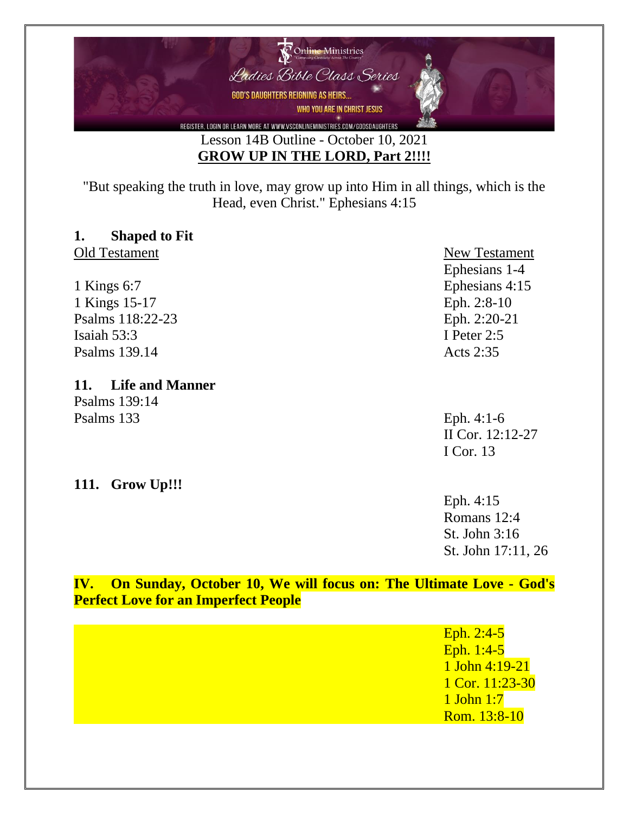

"But speaking the truth in love, may grow up into Him in all things, which is the Head, even Christ." Ephesians 4:15

## **1. Shaped to Fit**

Old Testament New Testament

1 Kings 6:7 Ephesians 4:15 1 Kings 15-17 Eph. 2:8-10 Psalms 118:22-23 Eph. 2:20-21 Isaiah 53:3 I Peter 2:5 Psalms 139.14 Acts 2:35

## **11. Life and Manner**

Psalms 139:14 Psalms 133 Eph. 4:1-6

**111. Grow Up!!!**

# Ephesians 1-4

II Cor. 12:12-27 I Cor. 13

#### Eph. 4:15 Romans 12:4 St. John 3:16 St. John 17:11, 26

## **IV. On Sunday, October 10, We will focus on: The Ultimate Love - God's Perfect Love for an Imperfect People**

| Eph. $2:4-5$<br>Eph. $1:4-5$<br>1 John 4:19-21    |
|---------------------------------------------------|
| 1 Cor. $11:23-30$<br>$1$ John 1:7<br>Rom. 13:8-10 |
|                                                   |